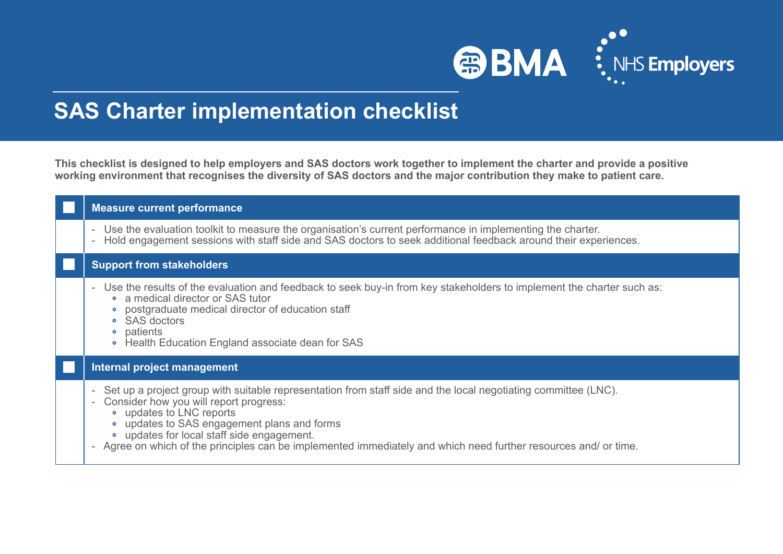

## **SAS Charter implementation checklist**

**This checklist is designed to help employers and SAS doctors work together to implement the charter and provide a positive working environment that recognises the diversity of SAS doctors and the major contribution they make to patient care.** 

| <b>Measure current performance</b>                                                                                                                                                                                                                                                                                                                                                                                                                        |
|-----------------------------------------------------------------------------------------------------------------------------------------------------------------------------------------------------------------------------------------------------------------------------------------------------------------------------------------------------------------------------------------------------------------------------------------------------------|
| Use the evaluation toolkit to measure the organisation's current performance in implementing the charter.<br>$\overline{\phantom{a}}$<br>Hold engagement sessions with staff side and SAS doctors to seek additional feedback around their experiences.                                                                                                                                                                                                   |
| <b>Support from stakeholders</b>                                                                                                                                                                                                                                                                                                                                                                                                                          |
| Use the results of the evaluation and feedback to seek buy-in from key stakeholders to implement the charter such as:<br>$\overline{\phantom{a}}$<br>• a medical director or SAS tutor<br>postgraduate medical director of education staff<br>• SAS doctors<br>patients<br>$\bullet$<br>• Health Education England associate dean for SAS                                                                                                                 |
| Internal project management                                                                                                                                                                                                                                                                                                                                                                                                                               |
| Set up a project group with suitable representation from staff side and the local negotiating committee (LNC).<br>$\overline{\phantom{a}}$<br>Consider how you will report progress:<br>$\overline{\phantom{a}}$<br>• updates to LNC reports<br>updates to SAS engagement plans and forms<br>• updates for local staff side engagement.<br>Agree on which of the principles can be implemented immediately and which need further resources and/ or time. |